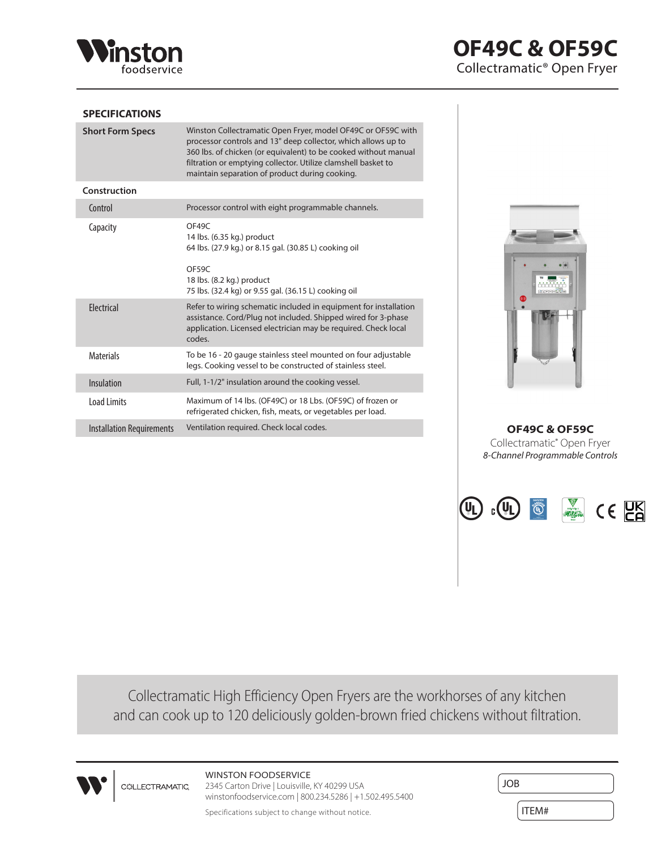

## **SPECIFICATIONS**

| <b>Short Form Specs</b>          | Winston Collectramatic Open Fryer, model OF49C or OF59C with<br>processor controls and 13" deep collector, which allows up to<br>360 lbs. of chicken (or equivalent) to be cooked without manual<br>filtration or emptying collector. Utilize clamshell basket to<br>maintain separation of product during cooking. |
|----------------------------------|---------------------------------------------------------------------------------------------------------------------------------------------------------------------------------------------------------------------------------------------------------------------------------------------------------------------|
| Construction                     |                                                                                                                                                                                                                                                                                                                     |
| Control                          | Processor control with eight programmable channels.                                                                                                                                                                                                                                                                 |
| Capacity                         | OF49C<br>14 lbs. (6.35 kg.) product<br>64 lbs. (27.9 kg.) or 8.15 gal. (30.85 L) cooking oil<br>OF59C<br>18 lbs. (8.2 kg.) product<br>75 lbs. (32.4 kg) or 9.55 gal. (36.15 L) cooking oil                                                                                                                          |
| Electrical                       | Refer to wiring schematic included in equipment for installation<br>assistance. Cord/Plug not included. Shipped wired for 3-phase<br>application. Licensed electrician may be required. Check local<br>codes.                                                                                                       |
| <b>Materials</b>                 | To be 16 - 20 gauge stainless steel mounted on four adjustable<br>legs. Cooking vessel to be constructed of stainless steel.                                                                                                                                                                                        |
| Insulation                       | Full, 1-1/2" insulation around the cooking vessel.                                                                                                                                                                                                                                                                  |
| Load Limits                      | Maximum of 14 lbs. (OF49C) or 18 Lbs. (OF59C) of frozen or<br>refrigerated chicken, fish, meats, or vegetables per load.                                                                                                                                                                                            |
| <b>Installation Requirements</b> | Ventilation required. Check local codes.                                                                                                                                                                                                                                                                            |



 Installation Requirements Ventilation required. Check local codes. **OF49C & OF59C** Collectramatic® Open Fryer *8-Channel Programmable Controls*



Collectramatic High Efficiency Open Fryers are the workhorses of any kitchen and can cook up to 120 deliciously golden-brown fried chickens without filtration.



WINSTON FOODSERVICE **COLLECTRAMATIC** 

2345 Carton Drive | Louisville, KY 40299 USA winstonfoodservice.com | 800.234.5286 | +1.502.495.5400

JOB

Specifications subject to change without notice. In the set of the set of the subject to change without notice.